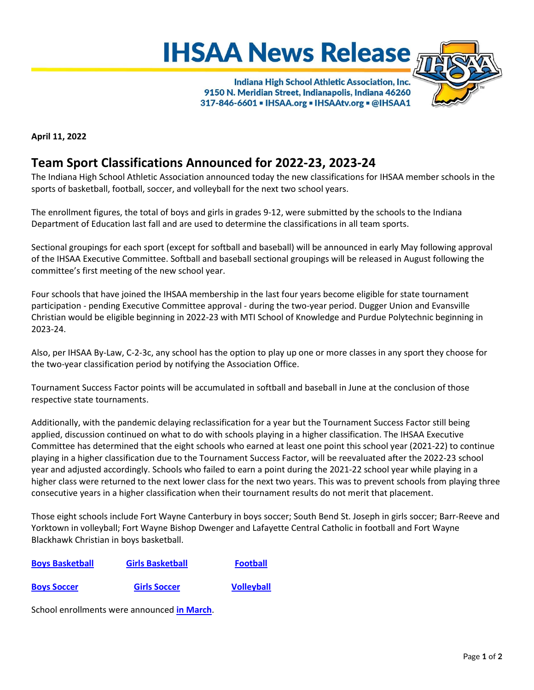



Indiana High School Athletic Association, Inc. 9150 N. Meridian Street, Indianapolis, Indiana 46260 317-846-6601 - IHSAA.org - IHSAAtv.org - @IHSAA1

**April 11, 2022**

## **Team Sport Classifications Announced for 2022-23, 2023-24**

The Indiana High School Athletic Association announced today the new classifications for IHSAA member schools in the sports of basketball, football, soccer, and volleyball for the next two school years.

The enrollment figures, the total of boys and girls in grades 9‐12, were submitted by the schools to the Indiana Department of Education last fall and are used to determine the classifications in all team sports.

Sectional groupings for each sport (except for softball and baseball) will be announced in early May following approval of the IHSAA Executive Committee. Softball and baseball sectional groupings will be released in August following the committee's first meeting of the new school year.

Four schools that have joined the IHSAA membership in the last four years become eligible for state tournament participation - pending Executive Committee approval - during the two-year period. Dugger Union and Evansville Christian would be eligible beginning in 2022-23 with MTI School of Knowledge and Purdue Polytechnic beginning in 2023-24.

Also, per IHSAA By‐Law, C‐2‐3c, any school has the option to play up one or more classes in any sport they choose for the two‐year classification period by notifying the Association Office.

Tournament Success Factor points will be accumulated in softball and baseball in June at the conclusion of those respective state tournaments.

Additionally, with the pandemic delaying reclassification for a year but the Tournament Success Factor still being applied, discussion continued on what to do with schools playing in a higher classification. The IHSAA Executive Committee has determined that the eight schools who earned at least one point this school year (2021-22) to continue playing in a higher classification due to the Tournament Success Factor, will be reevaluated after the 2022-23 school year and adjusted accordingly. Schools who failed to earn a point during the 2021-22 school year while playing in a higher class were returned to the next lower class for the next two years. This was to prevent schools from playing three consecutive years in a higher classification when their tournament results do not merit that placement.

Those eight schools include Fort Wayne Canterbury in boys soccer; South Bend St. Joseph in girls soccer; Barr-Reeve and Yorktown in volleyball; Fort Wayne Bishop Dwenger and Lafayette Central Catholic in football and Fort Wayne Blackhawk Christian in boys basketball.

| <b>Boys Basketball</b> | <b>Girls Basketball</b> | <b>Football</b>   |
|------------------------|-------------------------|-------------------|
| <b>Boys Soccer</b>     | <b>Girls Soccer</b>     | <b>Volleyball</b> |

School enrollments were announced **[in March](https://www.ihsaa.org/Portals/0/ihsaa/documents/quick%20resources/Enrollments%20&%20Classifications/2022-23%202023-24%20Enrollments.pdf)**.